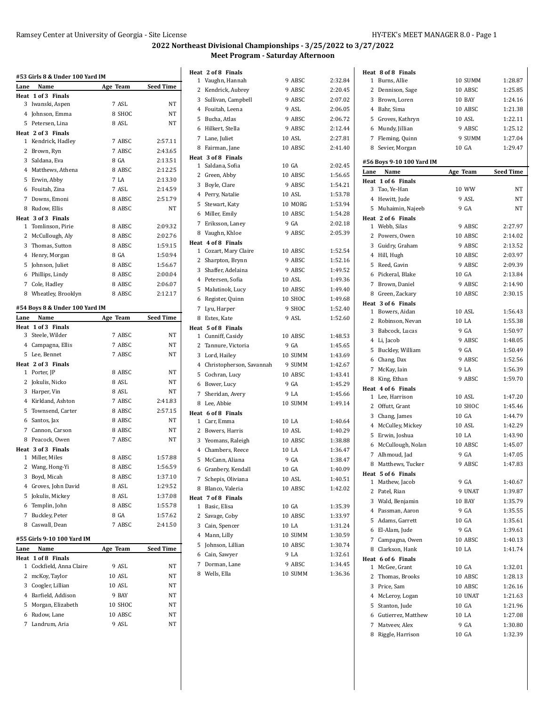| Lane         | #53 Girls 8 & Under 100 Yard IM<br>Name | Age Team | Seed Time                                                                                                  |
|--------------|-----------------------------------------|----------|------------------------------------------------------------------------------------------------------------|
|              | Heat 1 of 3 Finals                      |          |                                                                                                            |
| 3            | Iwanski, Aspen                          | 7 ASL    | ΝT                                                                                                         |
|              | 4 Johnson, Emma                         | 8 SHOC   | NT                                                                                                         |
| 5            | Petersen, Lina                          | 8 ASL    | NT                                                                                                         |
|              | Heat 2 of 3 Finals                      |          |                                                                                                            |
|              | 1 Kendrick, Hadley                      | 7 ABSC   | 2:57.11                                                                                                    |
|              | 2 Brown, Ryn                            | 7 ABSC   | 2:43.65                                                                                                    |
|              | 3 Saldana, Eva                          | 8 GA     | 2:13.51                                                                                                    |
|              | 4 Matthews, Athena                      | 8 ABSC   | 2:12.25                                                                                                    |
|              | 5 Erwin, Abby                           | 7 LA     | 2:13.30                                                                                                    |
|              | 6 Fouitah, Zina                         | 7 ASL    | 2:14.59                                                                                                    |
|              | 7 Downs, Emoni                          | 8 ABSC   | 2:51.79                                                                                                    |
|              | 8 Rudow, Ellis                          | 8 ABSC   | NT                                                                                                         |
|              | Heat 3 of 3 Finals                      |          |                                                                                                            |
|              | 1 Tomlinson, Pirie                      | 8 ABSC   | 2:09.32                                                                                                    |
|              | 2 McCullough, Aly                       | 8 ABSC   | 2:02.76                                                                                                    |
|              | 3 Thomas, Sutton                        | 8 ABSC   | 1:59.15                                                                                                    |
|              | 4 Henry, Morgan                         | 8 GA     | 1:50.94                                                                                                    |
|              | 5 Johnson, Juliet                       | 8 ABSC   | 1:56.67                                                                                                    |
|              | 6 Phillips, Lindy                       | 8 ABSC   | 2:00.04                                                                                                    |
|              | 7 Cole, Hadley                          | 8 ABSC   | 2:06.07                                                                                                    |
|              | 8 Wheatley, Brooklyn                    | 8 ABSC   | 2:12.17                                                                                                    |
|              |                                         |          |                                                                                                            |
|              | #54 Boys 8 & Under 100 Yard IM          |          |                                                                                                            |
| Lane         | Name                                    | Age Team | Seed Time                                                                                                  |
| Heat<br>3    | 1 of 3 Finals<br>Steele, Wilder         | 7 ABSC   | NT                                                                                                         |
|              | 4 Campagna, Ellis                       | 7 ABSC   | NT                                                                                                         |
|              | 5 Lee, Bennet                           | 7 ABSC   | NT                                                                                                         |
|              | Heat 2 of 3 Finals                      |          |                                                                                                            |
|              | 1 Porter, JP                            | 8 ABSC   | NT                                                                                                         |
|              | 2 Jokulis, Nicko                        | 8 ASL    | NT                                                                                                         |
|              | 3 Harper, Vin                           | 8 ASL    | NT                                                                                                         |
|              |                                         |          |                                                                                                            |
|              | 4 Kirkland, Ashton                      | 7 ABSC   | 2:41.83                                                                                                    |
|              | 5 Townsend, Carter                      | 8 ABSC   | 2:57.15                                                                                                    |
|              | 6 Santos, Jax                           | 8 ABSC   | NT                                                                                                         |
|              | 7 Cannon, Carson                        | 8 ABSC   | NT                                                                                                         |
|              | 8 Peacock, Owen                         | 7 ABSC   | NT                                                                                                         |
|              | Heat 3 of 3 Finals                      |          |                                                                                                            |
| 1            | Miller, Miles                           | 8 ABSC   | 1:57.88                                                                                                    |
| 2            | Wang, Hong-Yi                           | 8 ABSC   | 1:56.59                                                                                                    |
|              | 3 Boyd, Micah                           | 8 ABSC   |                                                                                                            |
|              | 4 Groves, John David                    | 8 ASL    |                                                                                                            |
|              | 5 Jokulis, Mickey                       | 8 ASL    |                                                                                                            |
| 6            | Templin, John                           | 8 ABSC   |                                                                                                            |
| 7            | Buckley, Peter                          | 8 GA     |                                                                                                            |
| 8            | Caswall, Dean                           | 7 ABSC   |                                                                                                            |
|              |                                         |          |                                                                                                            |
|              | #55 Girls 9-10 100 Yard IM<br>Name      |          |                                                                                                            |
| Lane<br>Heat | 1 of 8 Finals                           | Age Team |                                                                                                            |
| 1            | Cockfield, Anna Claire                  | 9 ASL    | NΤ                                                                                                         |
|              | 2 mcKoy, Taylor                         | 10 ASL   |                                                                                                            |
|              | 3 Coogler, Lillian                      | 10 ASL   | NT                                                                                                         |
|              | 4 Barfield, Addison                     | 9 BAY    | NΤ                                                                                                         |
|              | 5 Morgan, Elizabeth                     | 10 SHOC  |                                                                                                            |
|              | 6 Rudow, Lane                           | 10 ABSC  |                                                                                                            |
| 7            | Landrum, Aria                           | 9 ASL    | 1:37.10<br>1:29.52<br>1:37.08<br>1:55.78<br>1:57.62<br>2:41.50<br><b>Seed Time</b><br>NT<br>NΤ<br>NT<br>NT |

|                | Heat 2 of 8 Finals               |         |                    |
|----------------|----------------------------------|---------|--------------------|
| 1              | Vaughn, Hannah                   | 9 ABSC  | 2:32.84            |
| 2              | Kendrick, Aubrey                 | 9 ABSC  | 2:20.45            |
| 3              | Sullivan, Campbell               | 9 ABSC  | 2:07.02            |
|                | 4 Fouitah, Leena                 | 9 ASL   | 2:06.05            |
|                | 5 Bucha, Atlas                   | 9 ABSC  | 2:06.72            |
| 6              | Hilkert, Stella                  | 9 ABSC  | 2:12.44            |
| $\overline{7}$ | Lane, Juliet                     | 10 ASL  | 2:27.81            |
| 8              | Fairman, Jane                    | 10 ABSC | 2:41.40            |
|                | Heat 3 of 8 Finals               |         |                    |
| $\mathbf{1}$   | Saldana, Sofia                   | 10 GA   | 2:02.45            |
| $\overline{2}$ | Green, Abby                      | 10 ABSC | 1:56.65            |
| 3              | Boyle, Clare                     | 9 ABSC  | 1:54.21            |
|                | 4 Perry, Natalie                 | 10 ASL  | 1:53.78            |
| 5              | Stewart, Katy                    | 10 MORG | 1:53.94            |
| 6              | Miller, Emily                    | 10 ABSC | 1:54.28            |
| 7              | Eriksson, Laney                  | 9 GA    | 2:02.18            |
|                | 8 Vaughn, Khloe                  | 9 ABSC  | 2:05.39            |
|                | Heat 4 of 8 Finals               |         |                    |
| $\mathbf{1}$   | Cozart, Mary Claire              | 10 ABSC | 1:52.54            |
| $\mathbf{2}$   | Sharpton, Brynn                  | 9 ABSC  | 1:52.16            |
| 3              | Shaffer, Adelaina                | 9 ABSC  | 1:49.52            |
|                | 4 Petersen, Sofia                | 10 ASL  | 1:49.36            |
| 5              | Malutinok, Lucy                  | 10 ABSC | 1:49.40            |
|                | 6 Register, Quinn                | 10 SHOC | 1:49.68            |
| $\overline{7}$ | Lyu, Harper                      | 9 SHOC  | 1:52.40            |
| 8              | Estes, Kate                      | 9 ASL   | 1:52.60            |
|                | Heat 5 of 8 Finals               |         |                    |
| 1              | Cunniff, Casidy                  | 10 ABSC | 1:48.53            |
| $\mathbf{2}$   | Tannure, Victoria                | 9 GA    | 1:45.65            |
| 3              | Lord, Hailey                     | 10 SUMM | 1:43.69            |
|                | 4 Christopherson, Savannah       | 9 SUMM  | 1:42.67            |
| 5              | Cochran, Lucy                    | 10 ABSC | 1:43.41<br>1:45.29 |
|                | 6 Bower, Lucy                    | 9 GA    |                    |
| $\overline{7}$ | Sheridan, Avery                  | 9 LA    | 1:45.66            |
|                | 8 Lee, Abbie                     | 10 SUMM | 1:49.14            |
| $\mathbf{1}$   | Heat 6 of 8 Finals<br>Carr, Emma | 10 LA   | 1:40.64            |
| $\mathbf{2}$   | Bowers, Harris                   | 10 ASL  | 1:40.29            |
|                | 3 Yeomans, Raleigh               | 10 ABSC | 1:38.88            |
|                | 4 Chambers, Reece                | 10 LA   | 1:36.47            |
| 5              | McCann. Aliana                   | 9 GA    | 1:38.47            |
|                | 6 Granbery, Kendall              | 10 GA   | 1:40.09            |
| 7              | Schepis, Oliviana                | 10 ASL  | 1:40.51            |
|                | 8 Blanco, Valeria                | 10 ABSC | 1:42.02            |
|                | Heat 7 of 8 Finals               |         |                    |
| 1              | Basic, Elisa                     | 10 GA   | 1:35.39            |
| 2              | Savage, Coby                     | 10 ABSC | 1:33.97            |
|                | 3 Cain, Spencer                  | 10 LA   | 1:31.24            |
|                | 4 Mann, Lilly                    | 10 SUMM | 1:30.59            |
|                | 5 Johnson, Lillian               | 10 ABSC | 1:30.74            |
|                | 6 Cain, Sawyer                   | 9 LA    | 1:32.61            |
|                | 7 Dorman, Lane                   | 9 ABSC  | 1:34.45            |
|                | 8 Wells, Ella                    | 10 SUMM | 1:36.36            |
|                |                                  |         |                    |
|                |                                  |         |                    |

|              | Heat 8 of 8 Finals                  |                |                  |
|--------------|-------------------------------------|----------------|------------------|
| $\mathbf{1}$ | Burns, Allie                        | 10 SUMM        | 1:28.87          |
| 2            | Dennison, Sage                      | 10 ABSC        | 1:25.85          |
|              | 3 Brown, Loren                      | 10 BAY         | 1:24.16          |
|              | 4 Bahr, Sima                        | 10 ABSC        | 1:21.38          |
| 5            | Groves, Kathryn                     | 10 ASL         | 1:22.11          |
|              | 6 Mundy, Jillian                    | 9 ABSC         | 1:25.12          |
|              | 7 Fleming, Quinn                    | 9 SUMM         | 1:27.04          |
| 8            | Sevier, Morgan                      | 10 GA          | 1:29.47          |
|              | #56 Boys 9-10 100 Yard IM           |                |                  |
| Lane         | Name                                | Age Team       | <b>Seed Time</b> |
| Heat         | 1 of 6 Finals                       |                |                  |
| 3            | Tao, Ye-Han                         | 10 WW          | NT               |
|              | 4 Hewitt, Jude                      | 9 ASL          | NΤ               |
|              | 5 Muhaimin, Najeeb                  | 9 GA           | NΤ               |
|              | Heat 2 of 6 Finals                  |                |                  |
|              | 1 Webb, Silas                       | 9 ABSC         | 2:27.97          |
|              | 2 Powers, Owen                      | 10 ABSC        | 2:14.02          |
|              | 3 Guidry, Graham                    | 9 ABSC         | 2:13.52          |
|              | 4 Hill, Hugh                        | 10 ABSC        | 2:03.97          |
|              | 5 Reed, Gavin                       | 9 ABSC         | 2:09.39          |
|              | 6 Pickeral, Blake                   | 10 GA          | 2:13.84          |
|              | 7 Brown, Daniel                     | 9 ABSC         | 2:14.90          |
|              | 8 Green, Zackary                    | 10 ABSC        | 2:30.15          |
|              | Heat 3 of 6 Finals                  |                |                  |
|              | 1 Bowers, Aidan                     | 10 ASL         | 1:56.43          |
| $\mathbf{2}$ | Robinson, Nevan                     | 10 LA          | 1:55.38          |
|              | 3 Babcock, Lucas                    | 9 GA           | 1:50.97          |
|              | 4 Li, Jacob                         | 9 ABSC         | 1:48.05          |
|              | 5 Buckley, William                  | 9 GA<br>9 ABSC | 1:50.49          |
|              | 6 Chang, Dax                        |                | 1:52.56          |
|              | 7 McKay, Iain                       | 9 LA           | 1:56.39          |
|              | 8 King, Ethan                       | 9 ABSC         | 1:59.70          |
| $\mathbf{1}$ | Heat 4 of 6 Finals<br>Lee, Harrison | 10 ASL         | 1:47.20          |
| $\mathbf{2}$ | Offutt, Grant                       | 10 SHOC        | 1:45.46          |
|              | 3 Chang, James                      | 10 GA          | 1:44.79          |
|              | 4 McCulley, Mickey                  | 10 ASL         | 1:42.29          |
| 5            | Erwin, Joshua                       | 10 LA          | 1:43.90          |
|              | 6 McCullough, Nolan                 | 10 ABSC        | 1:45.07          |
| 7            | Alhmoud, Jad                        | 9 GA           | 1:47.05          |
| 8            | Matthews, Tucker                    | 9 ABSC         | 1:47.83          |
|              | Heat 5 of 6 Finals                  |                |                  |
| $\mathbf{1}$ | Mathew, Jacob                       | 9 GA           | 1:40.67          |
|              | 2 Patel. Rian                       | 9 UNAT         | 1:39.87          |
|              | 3 Wald, Benjamin                    | 10 BAY         | 1:35.79          |
|              | 4 Passman, Aaron                    | 9 GA           | 1:35.55          |
|              | 5 Adams, Garrett                    | 10 GA          | 1:35.61          |
|              | 6 El-Alam, Jude                     | 9 GA           | 1:39.61          |
|              | 7 Campagna, Owen                    | 10 ABSC        | 1:40.13          |
|              | 8 Clarkson, Hank                    | 10 LA          | 1:41.74          |
|              | Heat 6 of 6 Finals                  |                |                  |
|              | 1 McGee, Grant                      | 10 GA          | 1:32.01          |
|              | 2 Thomas, Brooks                    | 10 ABSC        | 1:28.13          |
|              | 3 Price, Sam                        | 10 ABSC        | 1:26.16          |
|              | 4 McLeroy, Logan                    | 10 UNAT        | 1:21.63          |
| 5            | Stanton, Jude                       | 10 GA          | 1:21.96          |
|              | 6 Gutierrez, Matthew                | 10 LA          | 1:27.08          |
| 7            | Matveev, Alex                       | 9 GA           | 1:30.80          |
| 8            | Riggle, Harrison                    | 10 GA          | 1:32.39          |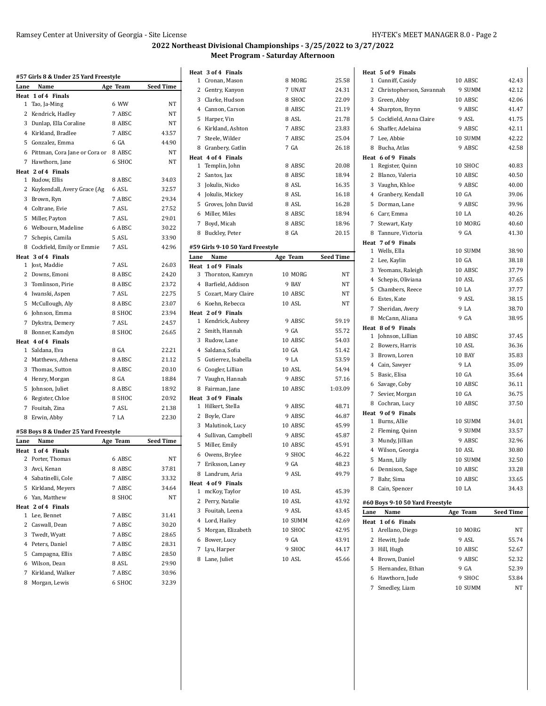|      | #57 Girls 8 & Under 25 Yard Freestyle |          |           |
|------|---------------------------------------|----------|-----------|
| Lane | Name                                  | Age Team | Seed Time |
| Heat | 1 of 4 Finals                         |          |           |
| 1    | Tao, Ja-Ming                          | 6 WW     | NΤ        |
|      | 2 Kendrick, Hadley                    | 7 ABSC   | NT        |
|      | 3 Dunlap, Ella Coraline               | 8 ABSC   | NΤ        |
|      | 4 Kirkland, Bradlee                   | 7 ABSC   | 43.57     |
|      | 5 Gonzalez, Emma                      | 6 GA     | 44.90     |
|      | 6 Pittman, Cora Jane or Cora or       | 8 ABSC   | ΝT        |
|      | 7 Hawthorn, Jane                      | 6 SHOC   | NT        |
|      | Heat 2 of 4 Finals                    |          |           |
|      | 1 Rudow, Ellis                        | 8 ABSC   | 34.03     |
|      | 2 Kuykendall, Avery Grace (Ag         | 6 ASL    | 32.57     |
|      | 3 Brown, Ryn                          | 7 ABSC   | 29.34     |
|      | 4 Coltrane, Evie                      | 7 ASL    | 27.52     |
|      | 5 Miller, Payton                      | 7 ASL    | 29.01     |
|      | 6 Welbourn, Madeline                  | 6 ABSC   | 30.22     |
|      | 7 Schepis, Camila                     | 5 ASL    | 33.90     |
|      | 8 Cockfield, Emily or Emmie           | 7 ASL    | 42.96     |
|      | Heat 3 of 4 Finals                    |          |           |
|      | 1 Jost, Maddie                        | 7 ASL    | 26.03     |
|      | 2 Downs, Emoni                        | 8 ABSC   | 24.20     |
|      | 3 Tomlinson, Pirie                    | 8 ABSC   | 23.72     |
|      | 4 Iwanski, Aspen                      | 7 ASL    | 22.75     |
|      | 5 McCullough, Aly                     | 8 ABSC   | 23.07     |
|      | 6 Johnson, Emma                       | 8 SHOC   | 23.94     |
|      | 7 Dykstra, Demery                     | 7 ASL    | 24.57     |
|      | 8 Bonner, Kamdyn                      | 8 SHOC   | 26.65     |
|      | Heat 4 of 4 Finals                    |          |           |
|      | 1 Saldana, Eva                        | 8 GA     | 22.21     |
|      | 2 Matthews, Athena                    | 8 ABSC   | 21.12     |
|      | 3 Thomas, Sutton                      | 8 ABSC   | 20.10     |
|      | 4 Henry, Morgan                       | 8 GA     | 18.84     |
|      | 5 Johnson, Juliet                     | 8 ABSC   | 18.92     |
|      | 6 Register, Chloe                     | 8 SHOC   | 20.92     |
| 7    | Fouitah, Zina                         | 7 ASL    | 21.38     |
|      | 8 Erwin, Abby                         | 7 LA     | 22.30     |
|      | #58 Boys 8 & Under 25 Yard Freestyle  |          |           |
| Lane | Name                                  | Age Team | Seed Time |
| Heat | 1 of 4 Finals                         |          |           |
|      | 2 Porter, Thomas                      | 6 ABSC   | NΤ        |
|      | 3 Avci, Kenan                         | 8 ABSC   | 37.81     |
|      | 4 Sabatinelli, Cole                   | 7 ABSC   | 33.32     |
|      | 5 Kirkland, Meyers                    | 7 ABSC   | 34.64     |
|      | 6 Yan, Matthew                        | 8 SHOC   | NΤ        |
|      | Heat 2 of 4 Finals                    |          |           |
| 1    | Lee, Bennet                           | 7 ABSC   | 31.41     |
| 2    | Caswall, Dean                         | 7 ABSC   | 30.20     |
|      | 3 Twedt, Wyatt                        | 7 ABSC   | 28.65     |
|      | 4 Peters, Daniel                      | 7 ABSC   | 28.31     |
|      | 5 Campagna, Ellis                     | 7 ABSC   | 28.50     |
|      | 6 Wilson, Dean                        | 8 ASL    | 29.90     |
| 7    | Kirkland, Walker                      | 7 ABSC   | 30.96     |
|      | 8 Morgan, Lewis                       | 6 SHOC   | 32.39     |

| Heat 3 of 4 Finals                    |                  |                  |
|---------------------------------------|------------------|------------------|
| 1 Cronan, Mason                       | 8 MORG           | 25.58            |
| 2 Gentry, Kanyon                      | 7 UNAT           | 24.31            |
| 3 Clarke, Hudson                      | 8 SHOC           | 22.09            |
| 4 Cannon, Carson                      | 8 ABSC           | 21.19            |
| 5<br>Harper, Vin                      | 8 ASL            | 21.78            |
| 6 Kirkland, Ashton                    | 7 ABSC           | 23.83            |
| 7 Steele, Wilder                      | 7 ABSC           | 25.04            |
| 8 Granbery, Gatlin                    | 7 GA             | 26.18            |
| Heat 4 of 4 Finals                    |                  |                  |
| 1 Templin, John                       | 8 ABSC           | 20.08            |
| 2 Santos, Jax                         | 8 ABSC           | 18.94            |
| 3 Jokulis, Nicko                      | 8 ASL            | 16.35            |
| 4 Jokulis, Mickey                     | 8 ASL            | 16.18            |
| 5<br>Groves, John David               | 8 ASL            | 16.28            |
| 6 Miller, Miles                       | 8 ABSC           | 18.94            |
| 7 Boyd, Micah                         | 8 ABSC           | 18.96            |
| 8 Buckley, Peter                      | 8 GA             | 20.15            |
| #59 Girls 9-10 50 Yard Freestyle      |                  |                  |
| Lane<br>Name                          | Age Team         | <b>Seed Time</b> |
| Heat 1 of 9 Finals                    |                  |                  |
| 3 Thornton, Kamryn                    | 10 MORG          | NT               |
| 4 Barfield, Addison                   | 9 BAY            | <b>NT</b>        |
| 5 Cozart, Mary Claire                 | 10 ABSC          | NT               |
| 6 Koehn, Rebecca                      | 10 ASL           | NT               |
| Heat 2 of 9 Finals                    |                  |                  |
| 1 Kendrick, Aubrey                    | 9 ABSC           | 59.19            |
| 2 Smith, Hannah                       | 9 GA             | 55.72            |
| 3 Rudow, Lane                         | 10 ABSC          | 54.03            |
| 4 Saldana, Sofia                      | 10 GA            | 51.42            |
| 5 Gutierrez, Isabella                 | 9 LA             | 53.59            |
| 6 Coogler, Lillian                    | 10 ASL           | 54.94            |
| 7 Vaughn, Hannah                      | 9 ABSC           | 57.16            |
| 8<br>Fairman, Jane                    |                  | 1:03.09          |
|                                       | 10 ABSC          |                  |
| Heat 3 of 9 Finals                    |                  |                  |
| Hilkert, Stella<br>1                  | 9 ABSC           | 48.71            |
| 2 Boyle, Clare                        | 9 ABSC           | 46.87            |
| 3 Malutinok, Lucy                     | 10 ABSC          | 45.99            |
| 4 Sullivan, Campbell                  | 9 ABSC           | 45.87            |
| 5<br>Miller, Emily                    | 10 ABSC          | 45.91            |
| 6 Owens, Brylee                       | 9 SHOC           | 46.22            |
| 7<br>Eriksson, Laney                  | 9 GA             | 48.23            |
| Landrum, Aria<br>8                    | 9 ASL            | 49.79            |
| Heat 4 of 9 Finals                    |                  |                  |
| mcKoy, Taylor<br>1                    | 10 ASL           | 45.39            |
| 2<br>Perry, Natalie                   | 10 ASL           | 43.92            |
| 3<br>Fouitah, Leena                   | 9 ASL            | 43.45            |
| Lord, Hailey<br>4                     | 10 SUMM          | 42.69            |
| 5<br>Morgan, Elizabeth                | 10 SHOC          | 42.95            |
| 6<br>Bower, Lucy                      | 9 GA             | 43.91            |
| 7<br>Lyu, Harper<br>Lane, Juliet<br>8 | 9 SHOC<br>10 ASL | 44.17<br>45.66   |

| Heat 5 of 9 Finals                              |               |                  |
|-------------------------------------------------|---------------|------------------|
| 1 Cunniff, Casidy                               | 10 ABSC       | 42.43            |
| 2 Christopherson, Savannah                      | 9 SUMM        | 42.12            |
| 3 Green, Abby                                   | 10 ABSC       | 42.06            |
| 4 Sharpton, Brynn                               | 9 ABSC        | 41.47            |
| 5 Cockfield, Anna Claire                        | 9 ASL         | 41.75            |
| 6 Shaffer, Adelaina                             | 9 ABSC        | 42.11            |
| 7 Lee, Abbie                                    | 10 SUMM       | 42.22            |
| 8 Bucha, Atlas                                  | 9 ABSC        | 42.58            |
| Heat 6 of 9 Finals                              |               |                  |
| 1 Register, Quinn                               | 10 SHOC       | 40.83            |
| 2 Blanco, Valeria                               | 10 ABSC       | 40.50            |
| 3 Vaughn, Khloe                                 | 9 ABSC        | 40.00            |
| 4 Granbery, Kendall                             | 10 GA         | 39.06            |
| 5 Dorman, Lane                                  | 9 ABSC        | 39.96            |
| 6 Carr, Emma                                    | 10 LA         | 40.26            |
| 7 Stewart, Katy                                 | 10 MORG       | 40.60            |
| 8 Tannure, Victoria                             | 9 GA          | 41.30            |
| Heat 7 of 9 Finals                              |               |                  |
| 1 Wells, Ella                                   | 10 SUMM       | 38.90            |
| 2 Lee, Kaylin                                   | 10 GA         | 38.18            |
| 3 Yeomans, Raleigh                              | 10 ABSC       | 37.79            |
| 4 Schepis, Oliviana                             | 10 ASL        | 37.65            |
| 5 Chambers, Reece                               | 10 LA         | 37.77            |
| 6 Estes, Kate                                   | 9 ASL         | 38.15            |
| 7 Sheridan, Avery                               | 9 I.A         | 38.70            |
| 8 McCann. Aliana                                | 9 GA          | 38.95            |
| Heat 8 of 9 Finals                              |               |                  |
| 1 Johnson, Lillian                              | 10 ABSC       | 37.45            |
| 2 Bowers, Harris                                | <b>10 ASL</b> | 36.36            |
| 3 Brown, Loren                                  | 10 BAY        | 35.83            |
| 4 Cain, Sawyer                                  | 9 LA          | 35.09            |
| 5 Basic, Elisa                                  | 10 GA         | 35.64            |
| 6 Savage, Coby                                  | 10 ABSC       | 36.11            |
| 7 Sevier, Morgan                                |               |                  |
|                                                 | 10 GA         | 36.75            |
| 8 Cochran, Lucy                                 | 10 ABSC       | 37.50            |
| Heat 9 of 9 Finals                              |               |                  |
| 1 Burns, Allie                                  | 10 SUMM       | 34.01            |
| 2 Fleming, Quinn                                | 9 SUMM        | 33.57            |
| 3 Mundy, Jillian                                | 9 ABSC        | 32.96            |
| 4 Wilson, Georgia                               | 10 ASL        | 30.80            |
| 5 Mann, Lilly                                   | 10 SUMM       | 32.50            |
| 6 Dennison, Sage                                | 10 ABSC       | 33.28            |
| 7<br>Bahr, Sima                                 | 10 ABSC       | 33.65            |
| 8 Cain, Spencer                                 | 10 LA         | 34.43            |
|                                                 |               |                  |
| #60 Boys 9-10 50 Yard Freestyle<br>Name<br>Lane | Age Team      | <b>Seed Time</b> |
| Heat 1 of 6 Finals                              |               |                  |
| 1 Arellano, Diego                               | 10 MORG       | NΤ               |
| 2 Hewitt, Jude                                  | 9 ASL         | 55.74            |
| 3 Hill, Hugh                                    | 10 ABSC       | 52.67            |
| 4 Brown, Daniel                                 | 9 ABSC        | 52.32            |
| 5 Hernandez, Ethan                              | 9 GA          | 52.39            |
| 6 Hawthorn, Jude                                | 9 SHOC        | 53.84            |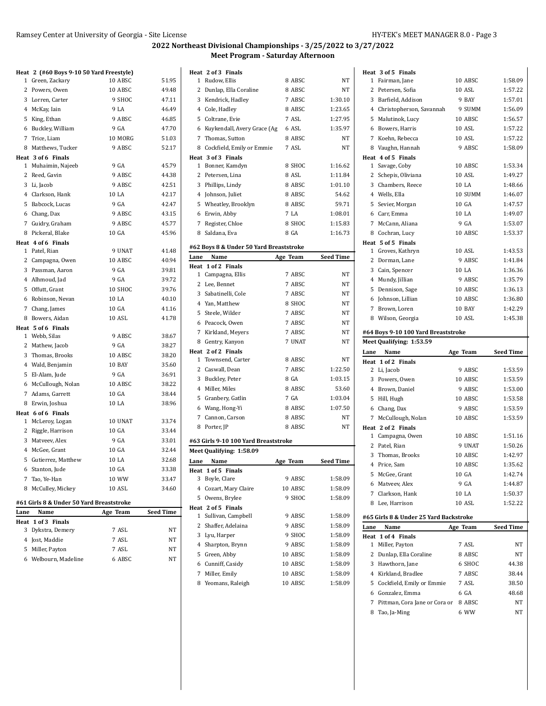|      | Heat 2 (#60 Boys 9-10 50 Yard Freestyle) |             |           |
|------|------------------------------------------|-------------|-----------|
| 1    | Green, Zackary                           | 10 ABSC     | 51.95     |
|      | 2 Powers, Owen                           | 10 ABSC     | 49.48     |
|      | 3 Lorren, Carter                         | 9 SHOC      | 47.11     |
|      | 4 McKay, Iain                            | 9 LA        | 46.49     |
|      | 5 King, Ethan                            | 9 ABSC      | 46.85     |
|      | 6 Buckley, William                       | 9 GA        | 47.70     |
|      | 7 Trice, Liam                            | 10 MORG     | 51.03     |
|      | 8 Matthews, Tucker                       | 9 ABSC      | 52.17     |
|      | Heat 3 of 6 Finals                       |             |           |
|      | 1 Muhaimin, Najeeb                       | 9 GA        | 45.79     |
|      | 2 Reed, Gavin                            | 9 ABSC      | 44.38     |
|      | 3 Li, Jacob                              | 9 ABSC      | 42.51     |
|      | 4 Clarkson, Hank                         | 10 LA       | 42.17     |
|      | 5 Babcock, Lucas                         | 9 GA        | 42.47     |
|      | 6 Chang, Dax                             | 9 ABSC      | 43.15     |
|      | 7 Guidry, Graham                         | 9 ABSC      | 45.77     |
|      | 8 Pickeral, Blake                        | 10 GA       | 45.96     |
|      | Heat 4 of 6 Finals                       |             |           |
|      | 1 Patel, Rian                            | 9 UNAT      | 41.48     |
|      | 2 Campagna, Owen                         | 10 ABSC     | 40.94     |
|      | 3 Passman, Aaron                         | 9 GA        | 39.81     |
|      | 4 Alhmoud, Jad                           | 9 GA        | 39.72     |
|      | 5 Offutt, Grant                          | 10 SHOC     | 39.76     |
|      | 6 Robinson, Nevan                        | 10 LA       | 40.10     |
|      | 7 Chang, James                           | 10 GA       | 41.16     |
|      | 8 Bowers, Aidan                          | 10 ASL      | 41.78     |
|      | Heat 5 of 6 Finals<br>1 Webb, Silas      | 9 ABSC      | 38.67     |
|      | 2 Mathew, Jacob                          | 9 GA        | 38.27     |
|      | 3 Thomas, Brooks                         | 10 ABSC     | 38.20     |
|      | 4 Wald, Benjamin                         | 10 BAY      | 35.60     |
|      | 5 El-Alam, Jude                          | 9 GA        | 36.91     |
|      | 6 McCullough, Nolan                      | 10 ABSC     | 38.22     |
|      | 7 Adams, Garrett                         | 10 GA       | 38.44     |
|      | 8 Erwin, Joshua                          | 10 LA       | 38.96     |
|      | Heat 6 of 6 Finals                       |             |           |
|      | 1 McLeroy, Logan                         | 10 UNAT     | 33.74     |
|      | 2 Riggle, Harrison                       | 10 GA       | 33.44     |
|      | 3 Matveev, Alex                          | 9 GA        | 33.01     |
|      | 4 McGee, Grant                           | 10 GA       | 32.44     |
|      | 5 Gutierrez, Matthew                     | 10 LA       | 32.68     |
|      | 6 Stanton, Jude                          | 10 GA       | 33.38     |
|      | 7 Tao, Ye-Han                            | 10 WW       | 33.47     |
|      | 8 McCulley, Mickey                       | 10 ASL      | 34.60     |
|      |                                          |             |           |
|      | #61 Girls 8 & Under 50 Yard Breaststroke |             |           |
| Lane | Name                                     | Age Team    | Seed Time |
|      | Heat 1 of 3 Finals                       | $A$ $C$ $T$ |           |

| eat 1 of 3 Finals    |        |           |
|----------------------|--------|-----------|
| 3 Dykstra, Demery    | 7 ASL  | NΤ        |
| 4 Jost, Maddie       | 7 ASL  | <b>NT</b> |
| 5 Miller, Payton     | 7 ASL  | <b>NT</b> |
| 6 Welbourn, Madeline | 6 ABSC | NT        |
|                      |        |           |

|              | Heat 2 of 3 Finals                      |        |           |
|--------------|-----------------------------------------|--------|-----------|
| 1            | Rudow, Ellis                            | 8 ABSC | <b>NT</b> |
| $\mathbf{2}$ | Dunlap, Ella Coraline                   | 8 ABSC | <b>NT</b> |
| 3            | Kendrick, Hadley                        | 7 ABSC | 1:30.10   |
| 4            | Cole, Hadley                            | 8 ABSC | 1:23.65   |
|              | 5 Coltrane, Evie                        | 7 ASL  | 1:27.95   |
| 6            | Kuykendall, Avery Grace (Ag             | 6 ASL  | 1:35.97   |
| 7            | Thomas, Sutton                          | 8 ABSC | <b>NT</b> |
| 8            | Cockfield, Emily or Emmie               | 7 ASL  | NT        |
|              | Heat 3 of 3 Finals                      |        |           |
| 1            | Bonner, Kamdyn                          | 8 SHOC | 1:16.62   |
| 2            | Petersen, Lina                          | 8 ASL  | 1:11.84   |
| 3            | Phillips, Lindy                         | 8 ABSC | 1:01.10   |
| 4            | Johnson, Juliet                         | 8 ABSC | 54.62     |
|              | 5 Wheatley, Brooklyn                    | 8 ABSC | 59.71     |
| 6            | Erwin, Abby                             | 7 LA   | 1:08.01   |
| 7            | Register, Chloe                         | 8 SHOC | 1:15.83   |
| 8            | Saldana, Eva                            | 8 GA   | 1:16.73   |
|              | #62 Boys 8 & Under 50 Yard Breaststroke |        |           |

| Lane | Name                                 | Age Team | <b>Seed Time</b> |
|------|--------------------------------------|----------|------------------|
| Heat | 1 of 2 Finals                        |          |                  |
| 1    | Campagna, Ellis                      | 7 ABSC   | NT               |
| 2    | Lee, Bennet                          | 7 ABSC   | <b>NT</b>        |
| 3    | Sabatinelli, Cole                    | 7 ABSC   | <b>NT</b>        |
| 4    | Yan. Matthew                         | 8 SHOC   | <b>NT</b>        |
| 5    | Steele, Wilder                       | 7 ABSC   | <b>NT</b>        |
| 6    | Peacock, Owen                        | 7 ABSC   | <b>NT</b>        |
| 7    | Kirkland, Meyers                     | 7 ABSC   | <b>NT</b>        |
| 8    | Gentry, Kanyon                       | 7 UNAT   | <b>NT</b>        |
|      | Heat 2 of 2 Finals                   |          |                  |
| 1    | Townsend, Carter                     | 8 ABSC   | <b>NT</b>        |
| 2    | Caswall, Dean                        | 7 ABSC   | 1:22.50          |
| 3    | Buckley, Peter                       | 8 GA     | 1:03.15          |
| 4    | Miller, Miles                        | 8 ABSC   | 53.60            |
| 5    | Granbery, Gatlin                     | 7 GA     | 1:03.04          |
| 6    | Wang, Hong-Yi                        | 8 ABSC   | 1:07.50          |
| 7    | Cannon, Carson                       | 8 ABSC   | <b>NT</b>        |
| 8    | Porter, JP                           | 8 ABSC   | NT               |
|      | #63 Girls 9-10 100 Yard Breaststroke |          |                  |
|      | Meet Qualifying: 1:58.09             |          |                  |
| Lane | Name                                 | Age Team | <b>Seed Time</b> |
| Heat | 1 of 5 Finals                        |          |                  |

|   | Heat 1 of 5 Finals    |         |         |
|---|-----------------------|---------|---------|
| 3 | Boyle, Clare          | 9 ABSC  | 1:58.09 |
|   | 4 Cozart, Mary Claire | 10 ABSC | 1:58.09 |
|   | 5 Owens, Brylee       | 9 SHOC  | 1:58.09 |
|   | Heat 2 of 5 Finals    |         |         |
|   | 1 Sullivan, Campbell  | 9 ABSC  | 1:58.09 |
|   | 2 Shaffer, Adelaina   | 9 ABSC  | 1:58.09 |
|   | 3 Lyu, Harper         | 9 SHOC  | 1:58.09 |
|   | 4 Sharpton, Brynn     | 9 ABSC  | 1:58.09 |
|   | 5 Green, Abby         | 10 ABSC | 1:58.09 |
|   | 6 Cunniff, Casidy     | 10 ABSC | 1:58.09 |
| 7 | Miller, Emily         | 10 ABSC | 1:58.09 |
| 8 | Yeomans, Raleigh      | 10 ABSC | 1:58.09 |

|                | Heat 3 of 5 Finals                     |          |                  |
|----------------|----------------------------------------|----------|------------------|
|                | 1 Fairman, Jane                        | 10 ABSC  | 1:58.09          |
| $\overline{2}$ | Petersen, Sofia                        | 10 ASL   | 1:57.22          |
|                | 3 Barfield, Addison                    | 9 BAY    | 1:57.01          |
|                | 4 Christopherson, Savannah             | 9 SUMM   | 1:56.09          |
|                | 5 Malutinok, Lucy                      | 10 ABSC  | 1:56.57          |
|                | 6 Bowers, Harris                       | 10 ASL   | 1:57.22          |
|                | 7 Koehn, Rebecca                       | 10 ASL   | 1:57.22          |
|                | 8 Vaughn, Hannah                       | 9 ABSC   | 1:58.09          |
|                | Heat 4 of 5 Finals                     |          |                  |
|                | 1 Savage, Coby                         | 10 ABSC  | 1:53.34          |
|                | 2 Schepis, Oliviana                    | 10 ASL   | 1:49.27          |
|                | 3 Chambers, Reece                      | 10 LA    | 1:48.66          |
|                | 4 Wells, Ella                          | 10 SUMM  | 1:46.07          |
|                | 5 Sevier, Morgan                       | 10 GA    | 1:47.57          |
|                | 6 Carr, Emma                           | 10 LA    | 1:49.07          |
|                | 7 McCann, Aliana                       | 9 GA     | 1:53.07          |
|                | 8 Cochran, Lucy                        | 10 ABSC  | 1:53.37          |
|                | Heat 5 of 5 Finals                     |          |                  |
|                | 1 Groves, Kathryn                      | 10 ASL   | 1:43.53          |
|                | 2 Dorman, Lane                         | 9 ABSC   | 1:41.84          |
|                | 3 Cain, Spencer                        | 10 LA    | 1:36.36          |
|                | 4 Mundy, Jillian                       | 9 ABSC   | 1:35.79          |
| 5              | Dennison, Sage                         | 10 ABSC  | 1:36.13          |
| 6              | Johnson, Lillian                       | 10 ABSC  | 1:36.80          |
| 7              | Brown, Loren                           | 10 BAY   | 1:42.29          |
|                | 8 Wilson, Georgia                      | 10 ASL   | 1:45.38          |
|                | #64 Boys 9-10 100 Yard Breaststroke    |          |                  |
|                |                                        |          |                  |
|                | Meet Qualifying: 1:53.59               |          |                  |
| Lane           | Name                                   | Age Team | <b>Seed Time</b> |
|                | Heat 1 of 2 Finals                     |          |                  |
|                | 2 Li, Jacob                            | 9 ABSC   | 1:53.59          |
| 3              | Powers, Owen                           | 10 ABSC  | 1:53.59          |
|                | 4 Brown, Daniel                        | 9 ABSC   | 1:53.00          |
|                | 5 Hill, Hugh                           | 10 ABSC  | 1:53.58          |
|                | 6 Chang, Dax                           | 9 ABSC   | 1:53.59          |
|                | 7 McCullough, Nolan                    | 10 ABSC  | 1:53.59          |
|                | Heat 2 of 2 Finals                     |          |                  |
|                | 1 Campagna, Owen                       | 10 ABSC  | 1:51.16          |
|                | 2 Patel, Rian                          | 9 UNAT   | 1:50.26          |
| 3              | Thomas, Brooks                         | 10 ABSC  | 1:42.97          |
|                | 4 Price, Sam                           | 10 ABSC  | 1:35.62          |
| 5              | McGee, Grant                           | 10 GA    | 1:42.74          |
|                | 6 Matveev, Alex                        | 9 GA     | 1:44.87          |
|                | 7 Clarkson, Hank                       | 10 LA    | 1:50.37          |
|                | 8 Lee, Harrison                        | 10 ASL   | 1:52.22          |
|                | #65 Girls 8 & Under 25 Yard Backstroke |          |                  |
| Lane           | Name                                   | Age Team | <b>Seed Time</b> |
|                | Heat 1 of 4 Finals                     |          |                  |
| $\mathbf{1}$   | Miller, Payton                         | 7 ASL    | NΤ               |
| $\overline{2}$ | Dunlap, Ella Coraline                  | 8 ABSC   | NΤ               |
| 3              | Hawthorn, Jane                         | 6 SHOC   | 44.38            |
|                | 4 Kirkland, Bradlee                    | 7 ABSC   | 38.44            |
|                | 5 Cockfield, Emily or Emmie            | 7 ASL    | 38.50            |
|                | 6 Gonzalez, Emma                       | 6 GA     | 48.68            |
| 7              | Pittman, Cora Jane or Cora or          | 8 ABSC   | NΤ               |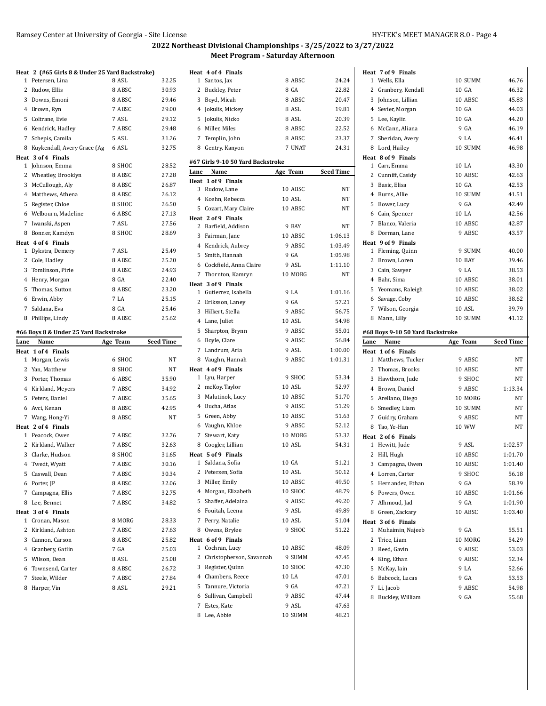|      | Heat 2 (#65 Girls 8 & Under 25 Yard Backstroke) |                 |                |
|------|-------------------------------------------------|-----------------|----------------|
| 1    | Petersen, Lina                                  | 8 ASL           | 32.25          |
|      | 2 Rudow, Ellis                                  | 8 ABSC          | 30.93          |
|      | 3 Downs, Emoni                                  | 8 ABSC          | 29.46          |
|      | 4 Brown, Ryn                                    | 7 ABSC          | 29.00          |
|      | 5 Coltrane, Evie                                | 7 ASL           | 29.12          |
|      | 6 Kendrick, Hadley                              | 7 ABSC          | 29.48          |
|      | 7 Schepis, Camila                               | 5 ASL           | 31.26          |
|      | 8 Kuykendall, Avery Grace (Ag                   | 6 ASL           | 32.75          |
|      | Heat 3 of 4 Finals<br>1 Johnson, Emma           | 8 SHOC          | 28.52          |
|      | 2 Wheatley, Brooklyn                            | 8 ABSC          | 27.28          |
|      | 3 McCullough, Aly                               | 8 ABSC          | 26.87          |
|      | 4 Matthews, Athena                              | 8 ABSC          | 26.12          |
|      | 5 Register, Chloe                               | 8 SHOC          | 26.50          |
|      | 6 Welbourn, Madeline                            | 6 ABSC          | 27.13          |
|      |                                                 | 7 ASL           | 27.56          |
|      | 7 Iwanski, Aspen                                | 8 SHOC          | 28.69          |
|      | 8 Bonner, Kamdyn<br>Heat 4 of 4 Finals          |                 |                |
|      | 1 Dykstra, Demery                               | 7 ASL           | 25.49          |
|      | 2 Cole, Hadley                                  | 8 ABSC          | 25.20          |
|      | 3 Tomlinson, Pirie                              | 8 ABSC          | 24.93          |
|      | 4 Henry, Morgan                                 | 8 GA            | 22.40          |
|      | 5 Thomas, Sutton                                | 8 ABSC          | 23.20          |
|      | 6 Erwin, Abby                                   | 7 LA            | 25.15          |
|      | 7 Saldana, Eva                                  | 8 GA            | 25.46          |
|      | 8 Phillips, Lindy                               | 8 ABSC          | 25.62          |
|      |                                                 |                 |                |
|      | #66 Boys 8 & Under 25 Yard Backstroke           |                 |                |
| Lane | Name                                            | Age Team        | Seed Time      |
|      | Heat 1 of 4 Finals                              |                 |                |
| 1    | Morgan, Lewis                                   | 6 SHOC          | ΝT             |
|      | 2 Yan, Matthew                                  | 8 SHOC          | NT             |
|      | 3 Porter, Thomas                                | 6 ABSC          | 35.90          |
|      | 4 Kirkland, Meyers                              | 7 ABSC          | 34.92          |
|      | 5 Peters, Daniel                                |                 |                |
|      |                                                 | 7 ABSC          | 35.65          |
|      | 6 Avci, Kenan                                   | 8 ABSC          | 42.95          |
|      | 7 Wang, Hong-Yi                                 | 8 ABSC          | <b>NT</b>      |
|      | Heat 2 of 4 Finals                              |                 |                |
|      | 1 Peacock, Owen                                 | 7 ABSC          | 32.76          |
|      | 2 Kirkland, Walker                              | 7 ABSC          | 32.63          |
|      | 3 Clarke, Hudson                                | 8 SHOC          | 31.65          |
|      | 4 Twedt, Wyatt                                  | 7 ABSC          | 30.16          |
|      | 5 Caswall, Dean                                 | 7 ABSC          | 30.34          |
|      | 6 Porter, JP                                    | 8 ABSC          | 32.06          |
|      | 7 Campagna, Ellis                               | 7 ABSC          | 32.75          |
|      | 8 Lee, Bennet                                   | 7 ABSC          | 34.82          |
|      | Heat 3 of 4 Finals                              |                 |                |
|      | 1 Cronan, Mason                                 | 8 MORG          | 28.33          |
|      | 2 Kirkland, Ashton                              | 7 ABSC          | 27.63          |
|      | 3 Cannon, Carson                                | 8 ABSC          | 25.82          |
|      | 4 Granbery, Gatlin                              | 7 GA            | 25.03          |
|      | 5 Wilson, Dean                                  | 8 ASL           | 25.08          |
|      | 6 Townsend, Carter                              | 8 ABSC          | 26.72          |
|      | 7 Steele, Wilder<br>8 Harper, Vin               | 7 ABSC<br>8 ASL | 27.84<br>29.21 |

|              | Heat 4 of 4 Finals                |          |                  |
|--------------|-----------------------------------|----------|------------------|
|              | 1 Santos, Jax                     | 8 ABSC   | 24.24            |
|              | 2 Buckley, Peter                  | 8 GA     | 22.82            |
|              | 3 Boyd, Micah                     | 8 ABSC   | 20.47            |
|              | 4 Jokulis, Mickey                 | 8 ASL    | 19.81            |
|              | 5 Jokulis, Nicko                  | 8 ASL    | 20.39            |
|              | 6 Miller, Miles                   | 8 ABSC   | 22.52            |
|              | 7 Templin, John                   | 8 ABSC   | 23.37            |
|              | 8 Gentry, Kanyon                  | 7 UNAT   | 24.31            |
|              | #67 Girls 9-10 50 Yard Backstroke |          |                  |
| Lane         | Name                              | Age Team | <b>Seed Time</b> |
|              | Heat 1 of 9 Finals                |          |                  |
|              | 3 Rudow, Lane                     | 10 ABSC  | NT               |
|              | 4 Koehn, Rebecca                  | 10 ASL   | ΝT               |
|              | 5 Cozart, Mary Claire             | 10 ABSC  | NT               |
|              | Heat 2 of 9 Finals                |          |                  |
|              | 2 Barfield, Addison               | 9 BAY    | NT               |
|              | 3 Fairman, Jane                   | 10 ABSC  | 1:06.13          |
|              | 4 Kendrick, Aubrey                | 9 ABSC   | 1:03.49          |
|              | 5 Smith, Hannah                   | 9 GA     | 1:05.98          |
|              | 6 Cockfield, Anna Claire          | 9 ASL    | 1:11.10          |
|              | 7 Thornton, Kamryn                | 10 MORG  | <b>NT</b>        |
|              | Heat 3 of 9 Finals                |          |                  |
|              | 1 Gutierrez, Isabella             | 9 LA     | 1:01.16          |
|              | 2 Eriksson, Laney                 | 9 GA     | 57.21            |
|              | 3 Hilkert, Stella                 | 9 ABSC   | 56.75            |
|              | 4 Lane, Juliet                    | 10 ASL   | 54.98            |
|              | 5 Sharpton, Brynn                 | 9 ABSC   | 55.01            |
|              | 6 Boyle, Clare                    | 9 ABSC   | 56.84            |
|              | 7 Landrum, Aria                   | 9 ASL    | 1:00.00          |
|              | 8 Vaughn, Hannah                  | 9 ABSC   | 1:01.31          |
|              | Heat 4 of 9 Finals                |          |                  |
|              | 1 Lyu, Harper                     | 9 SHOC   | 53.34            |
|              | 2 mcKoy, Taylor                   | 10 ASL   | 52.97            |
|              | 3 Malutinok, Lucy                 | 10 ABSC  | 51.70            |
|              | 4 Bucha, Atlas                    | 9 ABSC   | 51.29            |
|              | 5 Green, Abby                     | 10 ABSC  | 51.63            |
|              | 6 Vaughn, Khloe                   | 9 ABSC   | 52.12            |
|              | 7 Stewart, Katy                   | 10 MORG  | 53.32            |
|              | 8 Coogler, Lillian                | 10 ASL   | 54.31            |
|              | Heat 5 of 9 Finals                |          |                  |
|              | 1 Saldana, Sofia                  | 10 GA    | 51.21            |
| 2            | Petersen, Sofia                   | 10 ASL   | 50.12            |
| 3            | Miller, Emily                     | 10 ABSC  | 49.50            |
|              | 4 Morgan, Elizabeth               | 10 SHOC  | 48.79            |
|              | 5 Shaffer, Adelaina               | 9 ABSC   | 49.20            |
|              | 6 Fouitah, Leena                  | 9 ASL    | 49.89            |
| 7            | Perry, Natalie                    | 10 ASL   | 51.04            |
|              | 8 Owens, Brylee                   | 9 SHOC   | 51.22            |
|              | Heat 6 of 9 Finals                |          |                  |
| $\mathbf{1}$ | Cochran, Lucy                     | 10 ABSC  | 48.09            |
| 2            | Christopherson, Savannah          | 9 SUMM   | 47.45            |
|              | 3 Register, Quinn                 | 10 SHOC  | 47.30            |
|              | 4 Chambers, Reece                 | 10 LA    | 47.01            |
|              | 5 Tannure, Victoria               | 9 GA     | 47.21            |
|              | 6 Sullivan, Campbell              | 9 ABSC   | 47.44            |
| 7            | Estes, Kate                       | 9 ASL    | 47.63            |
| 8            | Lee, Abbie                        | 10 SUMM  | 48.21            |

| Heat 7 of 9 Finals                 |          |                  |
|------------------------------------|----------|------------------|
| 1 Wells, Ella                      | 10 SUMM  | 46.76            |
| 2 Granbery, Kendall                | 10 GA    | 46.32            |
| 3 Johnson, Lillian                 | 10 ABSC  | 45.83            |
| 4 Sevier, Morgan                   | 10 GA    | 44.03            |
| 5 Lee, Kaylin                      | 10 GA    | 44.20            |
| 6 McCann, Aliana                   | 9 GA     | 46.19            |
| 7 Sheridan, Avery                  | 9 LA     | 46.41            |
| 8 Lord, Hailey                     | 10 SUMM  | 46.98            |
| Heat 8 of 9 Finals                 |          |                  |
| 1 Carr, Emma                       | 10 LA    | 43.30            |
| 2 Cunniff, Casidy                  | 10 ABSC  | 42.63            |
| 3 Basic, Elisa                     | 10 GA    | 42.53            |
| 4 Burns, Allie                     | 10 SUMM  | 41.51            |
| 5 Bower, Lucy                      | 9 GA     | 42.49            |
| 6 Cain, Spencer                    | 10 LA    | 42.56            |
| 7 Blanco, Valeria                  | 10 ABSC  | 42.87            |
| 8 Dorman, Lane                     | 9 ABSC   | 43.57            |
| Heat 9 of 9 Finals                 |          |                  |
| 1 Fleming, Quinn                   | 9 SUMM   | 40.00            |
| 2 Brown, Loren                     | 10 BAY   | 39.46            |
| 3 Cain, Sawyer                     | 9 LA     | 38.53            |
| 4 Bahr, Sima                       | 10 ABSC  | 38.01            |
| 5 Yeomans, Raleigh                 | 10 ABSC  | 38.02            |
| 6 Savage, Coby                     | 10 ABSC  | 38.62            |
| 7 Wilson, Georgia                  | 10 ASL   | 39.79            |
| Mann, Lilly<br>8                   | 10 SUMM  | 41.12            |
|                                    |          |                  |
|                                    |          |                  |
| #68 Boys 9-10 50 Yard Backstroke   |          |                  |
| Lane<br>Name                       | Age Team | <b>Seed Time</b> |
| Heat 1 of 6 Finals                 |          |                  |
| Matthews, Tucker<br>1              | 9 ABSC   | NΤ               |
| 2 Thomas, Brooks                   | 10 ABSC  | NΤ               |
| 3 Hawthorn, Jude                   | 9 SHOC   | NΤ               |
| 4 Brown, Daniel                    | 9 ABSC   | 1:13.34          |
| 5 Arellano, Diego                  | 10 MORG  | NT               |
| 6 Smedley, Liam                    | 10 SUMM  | NΤ               |
| 7 Guidry, Graham                   | 9 ABSC   | NΤ               |
| 8 Tao, Ye-Han                      | 10 WW    | NT               |
| Heat 2 of 6 Finals                 |          |                  |
| 1 Hewitt, Jude                     | 9 ASL    | 1:02.57          |
| 2 Hill, Hugh                       | 10 ABSC  | 1:01.70          |
| 3<br>Campagna, Owen                | 10 ABSC  | 1:01.40          |
| Lorren, Carter<br>4                | 9 SHOC   | 56.18            |
| 5<br>Hernandez, Ethan              | 9 GA     | 58.39            |
| 6 Powers, Owen                     | 10 ABSC  | 1:01.66          |
| 7 Alhmoud, Jad                     | 9 GA     | 1:01.90          |
| 8 Green, Zackary                   | 10 ABSC  | 1:03.40          |
| Heat 3 of 6 Finals                 |          |                  |
| Muhaimin, Najeeb<br>1              | 9 GA     | 55.51            |
| $\overline{c}$<br>Trice, Liam      | 10 MORG  | 54.29            |
| 3 Reed, Gavin                      | 9 ABSC   | 53.03            |
| King, Ethan<br>4                   | 9 ABSC   | 52.34            |
| McKay, Iain<br>5                   | 9 LA     | 52.66            |
| Babcock, Lucas<br>6                | 9 GA     | 53.53            |
| 7<br>Li, Jacob<br>Buckley, William | 9 ABSC   | 54.98            |